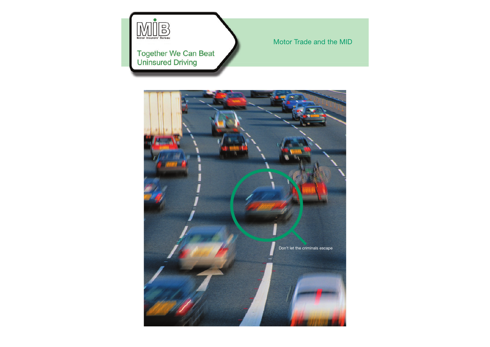

#### Motor Trade and the MID

# **Together We Can Beat**<br>Uninsured Driving

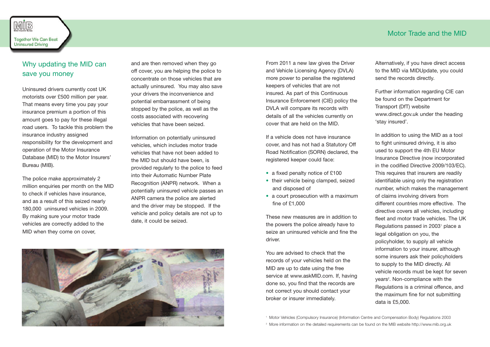### Why updating the MID can save you money

Uninsured drivers currently cost UK motorists over £500 million per year. That means every time you pay your insurance premium a portion of this amount goes to pay for these illegal road users. To tackle this problem the insurance industry assigned responsibility for the development and operation of the Motor Insurance Database (MID) to the Motor Insurers' Bureau (MIB).

The police make approximately 2 million enquiries per month on the MID to check if vehicles have insurance, and as a result of this seized nearly 180,000 uninsured vehicles in 2009. By making sure your motor trade vehicles are correctly added to the MID when they come on cover,

and are then removed when they go off cover, you are helping the police to concentrate on those vehicles that are actually uninsured. You may also save your drivers the inconvenience and potential embarrassment of being stopped by the police, as well as the costs associated with recovering vehicles that have been seized.

Information on potentially uninsured vehicles, which includes motor trade vehicles that have not been added to the MID but should have been, is provided regularly to the police to feed into their Automatic Number Plate Recognition (ANPR) network. When a potentially uninsured vehicle passes an ANPR camera the police are alerted and the driver may be stopped. If the vehicle and policy details are not up to date, it could be seized.



From 2011 a new law gives the Driver and Vehicle Licensing Agency (DVLA) more power to penalise the registered keepers of vehicles that are not insured. As part of this Continuous Insurance Enforcement (CIE) policy the DVLA will compare its records with details of all the vehicles currently on cover that are held on the MID.

If a vehicle does not have insurance cover, and has not had a Statutory Off Road Notification (SORN) declared, the registered keeper could face:

- a fixed penalty notice of £100
- their vehicle being clamped, seized and disposed of
- a court prosecution with a maximum fine of £1,000

These new measures are in addition to the powers the police already have to seize an uninsured vehicle and fine the driver.

You are advised to check that the records of your vehicles held on the MID are up to date using the free service at www.askMID.com. If, having done so, you find that the records are not correct you should contact your broker or insurer immediately.

Alternatively, if you have direct access to the MID via MIDUpdate, you could send the records directly.

Further information regarding CIE can be found on the Department for Transport (DfT) website www.direct.gov.uk under the heading 'stay insured'.

In addition to using the MID as a tool to fight uninsured driving, it is also used to support the 4th EU Motor Insurance Directive (now incorporated in the codified Directive 2009/103/EC). This requires that insurers are readily identifiable using only the registration number, which makes the management of claims involving drivers from different countries more effective. The directive covers all vehicles, including fleet and motor trade vehicles. The UK Regulations passed in 2003<sup>1</sup> place a legal obligation on you, the policyholder, to supply all vehicle information to your insurer, although some insurers ask their policyholders to supply to the MID directly. All vehicle records must be kept for seven years<sup>2</sup>. Non-compliance with the Regulations is a criminal offence, and the maximum fine for not submitting data is £5,000.

<sup>1</sup> Motor Vehicles (Compulsory Insurance) (Information Centre and Compensation Body) Regulations 2003

<sup>2</sup> More information on the detailed requirements can be found on the MIB website http://www.mib.org.uk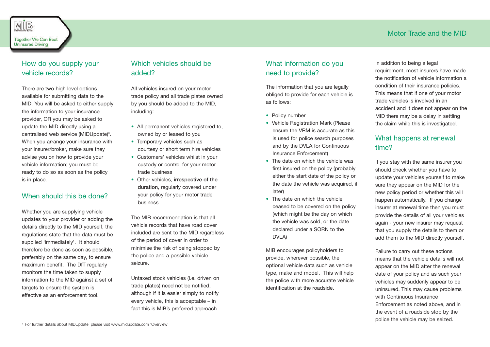## MİB

**Together We Can Beat Uninsured Driving** 

#### How do you supply your vehicle records?

There are two high level options available for submitting data to the MID. You will be asked to either supply the information to your insurance provider, OR you may be asked to update the MID directly using a centralised web service (MIDUpdate)<sup>3</sup>. When you arrange your insurance with your insurer/broker, make sure they advise you on how to provide your vehicle information; you must be ready to do so as soon as the policy is in place.

#### When should this be done?

Whether you are supplying vehicle updates to your provider or adding the details directly to the MID yourself, the regulations state that the data must be supplied 'immediately'. It should therefore be done as soon as possible, preferably on the same day, to ensure maximum benefit. The DfT regularly monitors the time taken to supply information to the MID against a set of targets to ensure the system is effective as an enforcement tool.

#### Which vehicles should be added?

All vehicles insured on your motor trade policy and all trade plates owned by you should be added to the MID, including:

- All permanent vehicles registered to, owned by or leased to you
- Temporary vehicles such as courtesy or short term hire vehicles
- Customers' vehicles whilst in your custody or control for your motor trade business
- Other vehicles, irrespective of the duration, regularly covered under your policy for your motor trade business

The MIB recommendation is that all vehicle records that have road cover included are sent to the MID regardless of the period of cover in order to minimise the risk of being stopped by the police and a possible vehicle seizure.

Untaxed stock vehicles (i.e. driven on trade plates) need not be notified, although if it is easier simply to notify every vehicle, this is acceptable – in fact this is MIB's preferred approach.

#### What information do you need to provide?

The information that you are legally obliged to provide for each vehicle is as follows:

- Policy number
- Vehicle Registration Mark (Please ensure the VRM is accurate as this is used for police search purposes and by the DVLA for Continuous Insurance Enforcement)
- The date on which the vehicle was first insured on the policy (probably either the start date of the policy or the date the vehicle was acquired, if later)
- The date on which the vehicle ceased to be covered on the policy (which might be the day on which the vehicle was sold, or the date declared under a SORN to the DVLA)

MIB encourages policyholders to provide, wherever possible, the optional vehicle data such as vehicle type, make and model. This will help the police with more accurate vehicle identification at the roadside.

In addition to being a legal requirement, most insurers have made the notification of vehicle information a condition of their insurance policies. This means that if one of your motor trade vehicles is involved in an accident and it does not appear on the MID there may be a delay in settling the claim while this is investigated.

#### What happens at renewal time?

If you stay with the same insurer you should check whether you have to update your vehicles yourself to make sure they appear on the MID for the new policy period or whether this will happen automatically. If you change insurer at renewal time then you must provide the details of all your vehicles again - your new insurer may request that you supply the details to them or add them to the MID directly yourself.

Failure to carry out these actions means that the vehicle details will not appear on the MID after the renewal date of your policy and as such your vehicles may suddenly appear to be uninsured. This may cause problems with Continuous Insurance Enforcement as noted above, and in the event of a roadside stop by the police the vehicle may be seized.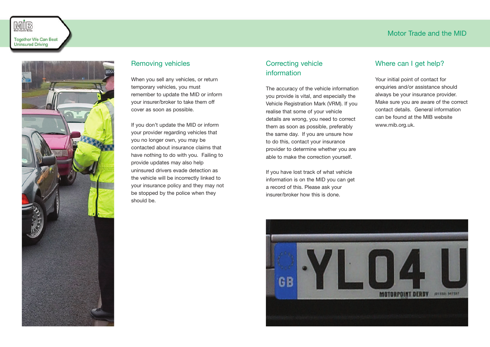



#### Removing vehicles

When you sell any vehicles, or return temporary vehicles, you must remember to update the MID or inform your insurer/broker to take them off cover as soon as possible.

If you don't update the MID or inform your provider regarding vehicles that you no longer own, you may be contacted about insurance claims that have nothing to do with you. Failing to provide updates may also help uninsured drivers evade detection as the vehicle will be incorrectly linked to your insurance policy and they may not be stopped by the police when they should be.

#### Correcting vehicle information

The accuracy of the vehicle information you provide is vital, and especially the Vehicle Registration Mark (VRM). If you realise that some of your vehicle details are wrong, you need to correct them as soon as possible, preferably the same day. If you are unsure how to do this, contact your insurance provider to determine whether you are able to make the correction yourself.

If you have lost track of what vehicle information is on the MID you can get a record of this. Please ask your insurer/broker how this is done.

#### Where can I get help?

Your initial point of contact for enquiries and/or assistance should always be your insurance provider. Make sure you are aware of the correct contact details. General information can be found at the MIB website www.mib.org.uk.